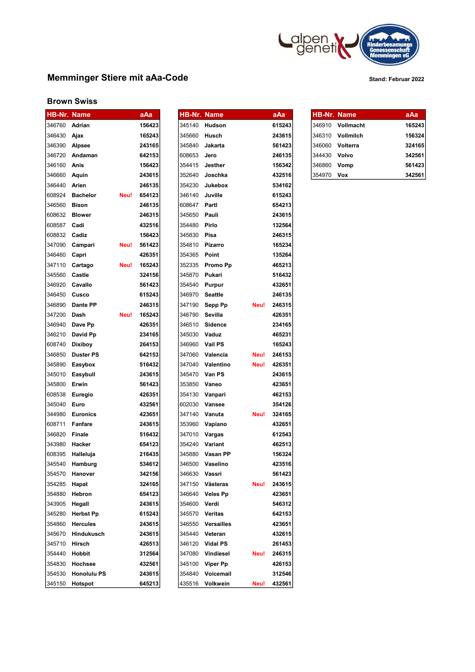

# Memminger Stiere mit aAa-Code Stand: Februar 2022

## Brown Swiss

| <b>HB-Nr. Name</b>   |                    |      | aAa    | HB-Nr. Name   |                      |      | aAa    | <b>HB-Nr. Name</b> |                  | aAa    |
|----------------------|--------------------|------|--------|---------------|----------------------|------|--------|--------------------|------------------|--------|
| 346760 <b>Adrian</b> |                    |      | 156423 |               | 345140 <b>Hudson</b> |      | 615243 |                    | 346910 Vollmacht | 165243 |
| 346430               | Ajax               |      | 165243 | 345660        | Husch                |      | 243615 | 346310             | Vollmilch        | 156324 |
| 346390 Alpsee        |                    |      | 243165 | 345840        | Jakarta              |      | 561423 | 346060             | Volterra         | 324165 |
| 346720               | Andaman            |      | 642153 | 608653        | Jero                 |      | 246135 | 344430             | Volvo            | 342561 |
| 346160               | Anis               |      | 156423 | 354415        | Jesther              |      | 156342 | 346860             | Vomp             | 561423 |
| 346660               | Aquin              |      | 243615 | 352640        | Joschka              |      | 432516 | 354970             | Vox              | 342561 |
| 346440               | Arien              |      | 246135 | 354230        | Jukebox              |      | 534162 |                    |                  |        |
| 608924               | <b>Bachelor</b>    | Neu! | 654123 | 346140        | Juville              |      | 615243 |                    |                  |        |
| 346560               | <b>Bison</b>       |      | 246135 | 608647        | Partl                |      | 654213 |                    |                  |        |
| 608632               | <b>Blower</b>      |      | 246315 | 345650        | Pauli                |      | 243615 |                    |                  |        |
| 608587               | Cadi               |      | 432516 | 354480        | Pirlo                |      | 132564 |                    |                  |        |
| 608832               | Cadiz              |      | 156423 | 345830        | Pisa                 |      | 246315 |                    |                  |        |
| 347090               | Campari            | Neu! | 561423 | 354810        | Pizarro              |      | 165234 |                    |                  |        |
| 346460               | Capri              |      | 426351 | 354365        | Point                |      | 135264 |                    |                  |        |
| 347110               | Cartago            | Neu! | 165243 |               | 352335 Promo Pp      |      | 465213 |                    |                  |        |
| 345560               | Castle             |      | 324156 | 345870        | Pukari               |      | 516432 |                    |                  |        |
| 346920               | Cavallo            |      | 561423 | 354540        | Purpur               |      | 432651 |                    |                  |        |
| 346450               | Cusco              |      | 615243 | 346970        | <b>Seattle</b>       |      | 246135 |                    |                  |        |
| 346890               | Dante PP           |      | 246315 | 347190        | Sepp Pp              | Neu! | 246315 |                    |                  |        |
| 347200               | Dash               | Neu! | 165243 | 346790        | Sevilla              |      | 426351 |                    |                  |        |
| 346940               | Dave Pp            |      | 426351 | 346510        | Sidence              |      | 234165 |                    |                  |        |
| 346210               | David Pp           |      | 234165 | 345030        | Vaduz                |      | 465231 |                    |                  |        |
| 608740               | <b>Dixiboy</b>     |      | 264153 | 346960        | <b>Vail PS</b>       |      | 165243 |                    |                  |        |
| 346850               | <b>Duster PS</b>   |      | 642153 | 347060        | Valencia             | Neu! | 246153 |                    |                  |        |
| 345890               | Easybox            |      | 516432 | 347040        | Valentino            | Neu! | 426351 |                    |                  |        |
| 345010               | Easybull           |      | 243615 | 345470        | Van PS               |      | 243615 |                    |                  |        |
| 345800               | Erwin              |      | 561423 | 353850        | Vaneo                |      | 423651 |                    |                  |        |
| 608538               | Euregio            |      | 426351 | 354130        | Vanpari              |      | 462153 |                    |                  |        |
| 345040               | Euro               |      | 432561 | 602030        | Vansee               |      | 354126 |                    |                  |        |
| 344980               | <b>Euronics</b>    |      | 423651 | 347140        | Vanuta               | Neu! | 324165 |                    |                  |        |
| 608711               | <b>Fanfare</b>     |      | 243615 | 353960        | Vapiano              |      | 432651 |                    |                  |        |
| 346820               | Finale             |      | 516432 | 347010        | Vargas               |      | 612543 |                    |                  |        |
| 343980               | Hacker             |      | 654123 | 354240        | Variant              |      | 462513 |                    |                  |        |
| 608395               | Halleluja          |      | 216435 | 345880        | Vasan PP             |      | 156324 |                    |                  |        |
| 345540               | Hamburg            |      | 534612 |               | 346500 Vaselino      |      | 423516 |                    |                  |        |
|                      | 354570 Hanover     |      | 342156 | 346630 Vassri |                      |      | 561423 |                    |                  |        |
| 354285               | Hapat              |      | 324165 | 347150        | Västeras             | Neu! | 243615 |                    |                  |        |
| 354880               | Hebron             |      | 654123 | 346640        | <b>Veles Pp</b>      |      | 423651 |                    |                  |        |
| 343905               | Hegall             |      | 243615 | 354600 Verdi  |                      |      | 546312 |                    |                  |        |
| 345280               | <b>Herbst Pp</b>   |      | 615243 | 345570        | Veritas              |      | 642153 |                    |                  |        |
| 354860               | <b>Hercules</b>    |      | 243615 | 346550        | <b>Versailles</b>    |      | 423651 |                    |                  |        |
| 345670               | Hindukusch         |      | 243615 | 345440        | Veteran              |      | 432615 |                    |                  |        |
| 345710               | Hirsch             |      | 426513 | 346120        | <b>Vidal PS</b>      |      | 261453 |                    |                  |        |
| 354440               | Hobbit             |      | 312564 | 347080        | Vindiesel            | Neu! | 246315 |                    |                  |        |
| 354830               | Hochsee            |      | 432561 | 345100        | Viper Pp             |      | 426153 |                    |                  |        |
| 354530               | <b>Honolulu PS</b> |      | 243615 | 354840        | Voicemail            |      | 312546 |                    |                  |        |
| 345150               | Hotspot            |      | 645213 | 435516        | Volkwein             | Neu! | 432561 |                    |                  |        |

| <b>HB-Nr. Name</b> |                   |      | aAa    |
|--------------------|-------------------|------|--------|
|                    | 345140 Hudson     |      | 615243 |
| 345660             | Husch             |      | 243615 |
| 345840             | Jakarta           |      | 561423 |
| 608653             | Jero              |      | 246135 |
| 354415             | Jesther           |      | 156342 |
| 352640             | Joschka           |      | 432516 |
| 354230             | Jukebox           |      | 534162 |
| 346140 Juville     |                   |      | 615243 |
| 608647 Partl       |                   |      | 654213 |
| 345650 Pauli       |                   |      | 243615 |
| 354480 Pirlo       |                   |      | 132564 |
| 345830 Pisa        |                   |      | 246315 |
| 354810 Pizarro     |                   |      | 165234 |
| 354365             | Point             |      | 135264 |
| 352335             | <b>Promo Pp</b>   |      | 465213 |
| 345870             | Pukari            |      | 516432 |
| 354540             | <b>Purpur</b>     |      | 432651 |
| 346970             | <b>Seattle</b>    |      | 246135 |
| 347190             | Sepp Pp           | Neu! | 246315 |
| 346790 Sevilla     |                   |      | 426351 |
|                    | 346510 Sidence    |      | 234165 |
| 345030 Vaduz       |                   |      | 465231 |
| 346960 Vail PS     |                   |      | 165243 |
|                    | 347060 Valencia   | Neu! | 246153 |
|                    | 347040 Valentino  | Neu! | 426351 |
| 345470             | Van PS            |      | 243615 |
| 353850             | Vaneo             |      | 423651 |
| 354130             | Vanpari           |      | 462153 |
| 602030             | <b>Vansee</b>     |      | 354126 |
| 347140             | Vanuta            | Neu! | 324165 |
| 353960             | Vapiano           |      | 432651 |
| 347010             | Vargas            |      | 612543 |
|                    | 354240 Variant    |      | 462513 |
|                    | 345880 Vasan PP   |      | 156324 |
|                    | 346500 Vaselino   |      | 423516 |
| 346630             | Vassri            |      | 561423 |
| 347150             | Västeras          | Neu! | 243615 |
| 346640             | <b>Veles Pp</b>   |      | 423651 |
| 354600             | Verdi             |      | 546312 |
| 345570             | Veritas           |      | 642153 |
| 346550             | <b>Versailles</b> |      | 423651 |
| 345440             | Veteran           |      | 432615 |
| 346120             | <b>Vidal PS</b>   |      | 261453 |
| 347080             | <b>Vindiesel</b>  | Neu! | 246315 |
| 345100             | <b>Viper Pp</b>   |      | 426153 |
| 354840             | Voicemail         |      | 312546 |
| 435516             | <b>Volkwein</b>   | Neu! | 432561 |

HB-Nr. Name aAa HB-Nr. Name aAa HB-Nr. Name aAa

|              | 346910 Vollmacht | 165243 |
|--------------|------------------|--------|
|              | 346310 Vollmilch | 156324 |
|              | I346060 Volterra | 324165 |
| 344430 Volvo |                  | 342561 |
| 346860 Vomp  |                  | 561423 |
| 354970       | Vox              | 342561 |